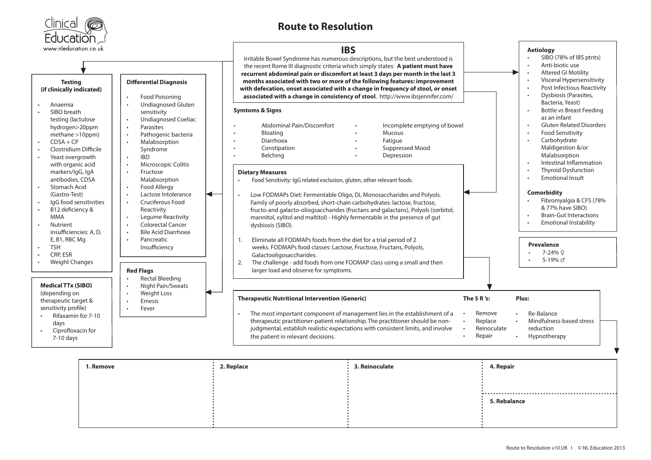

## **Route to Resolution**



| 1. Remove | 2. Replace | 3. Reinoculate | 4. Repair    |
|-----------|------------|----------------|--------------|
|           |            |                |              |
|           |            |                |              |
|           |            |                | 5. Rebalance |
|           |            |                |              |
|           |            |                |              |